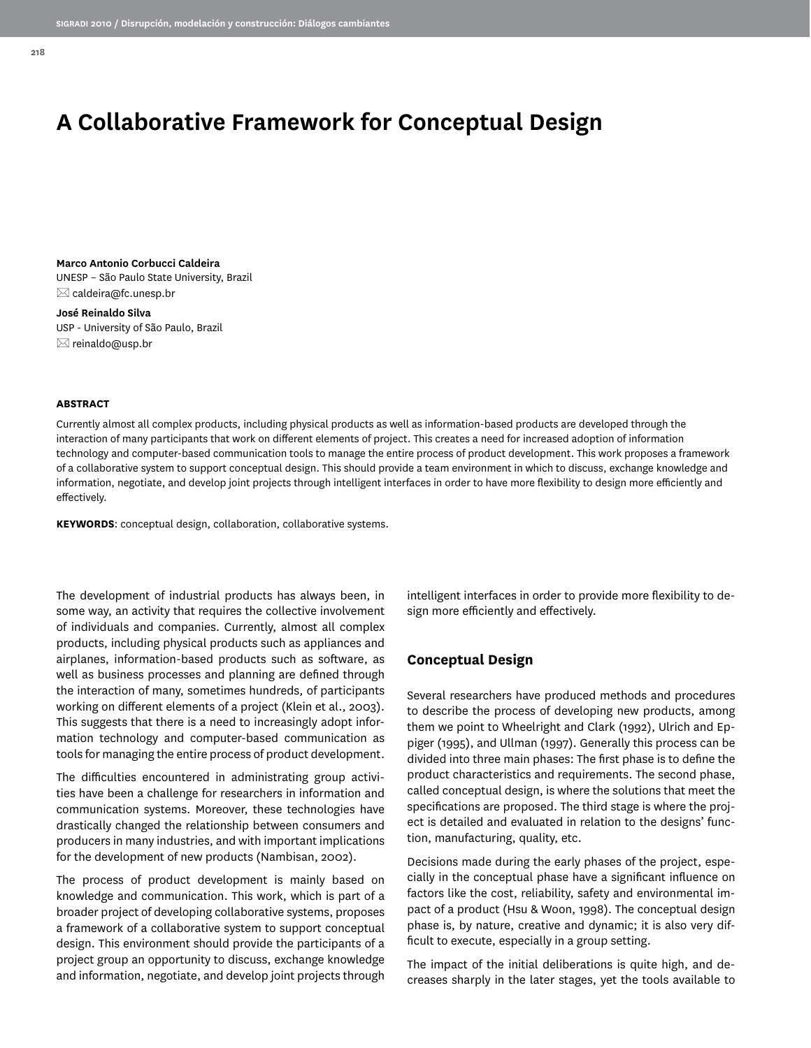# **A Collaborative Framework for Conceptual Design**

**Marco Antonio Corbucci Caldeira** UNESP – São Paulo State University, Brazil  $\boxtimes$  caldeira@fc.unesp.br

**José Reinaldo Silva** USP - University of São Paulo, Brazil  $\boxtimes$  reinaldo@usp.br

#### **ABSTRACT**

Currently almost all complex products, including physical products as well as information-based products are developed through the interaction of many participants that work on different elements of project. This creates a need for increased adoption of information technology and computer-based communication tools to manage the entire process of product development. This work proposes a framework of a collaborative system to support conceptual design. This should provide a team environment in which to discuss, exchange knowledge and information, negotiate, and develop joint projects through intelligent interfaces in order to have more flexibility to design more efficiently and effectively.

**KEYWORDS**: conceptual design, collaboration, collaborative systems.

The development of industrial products has always been, in some way, an activity that requires the collective involvement of individuals and companies. Currently, almost all complex products, including physical products such as appliances and airplanes, information-based products such as software, as well as business processes and planning are defined through the interaction of many, sometimes hundreds, of participants working on different elements of a project (Klein et al., 2003). This suggests that there is a need to increasingly adopt information technology and computer-based communication as tools for managing the entire process of product development.

The difficulties encountered in administrating group activities have been a challenge for researchers in information and communication systems. Moreover, these technologies have drastically changed the relationship between consumers and producers in many industries, and with important implications for the development of new products (Nambisan, 2002).

The process of product development is mainly based on knowledge and communication. This work, which is part of a broader project of developing collaborative systems, proposes a framework of a collaborative system to support conceptual design. This environment should provide the participants of a project group an opportunity to discuss, exchange knowledge and information, negotiate, and develop joint projects through intelligent interfaces in order to provide more flexibility to design more efficiently and effectively.

# **Conceptual Design**

Several researchers have produced methods and procedures to describe the process of developing new products, among them we point to Wheelright and Clark (1992), Ulrich and Eppiger (1995), and Ullman (1997). Generally this process can be divided into three main phases: The first phase is to define the product characteristics and requirements. The second phase, called conceptual design, is where the solutions that meet the specifications are proposed. The third stage is where the project is detailed and evaluated in relation to the designs' function, manufacturing, quality, etc.

Decisions made during the early phases of the project, especially in the conceptual phase have a significant influence on factors like the cost, reliability, safety and environmental impact of a product (Hsu & Woon, 1998). The conceptual design phase is, by nature, creative and dynamic; it is also very difficult to execute, especially in a group setting.

The impact of the initial deliberations is quite high, and decreases sharply in the later stages, yet the tools available to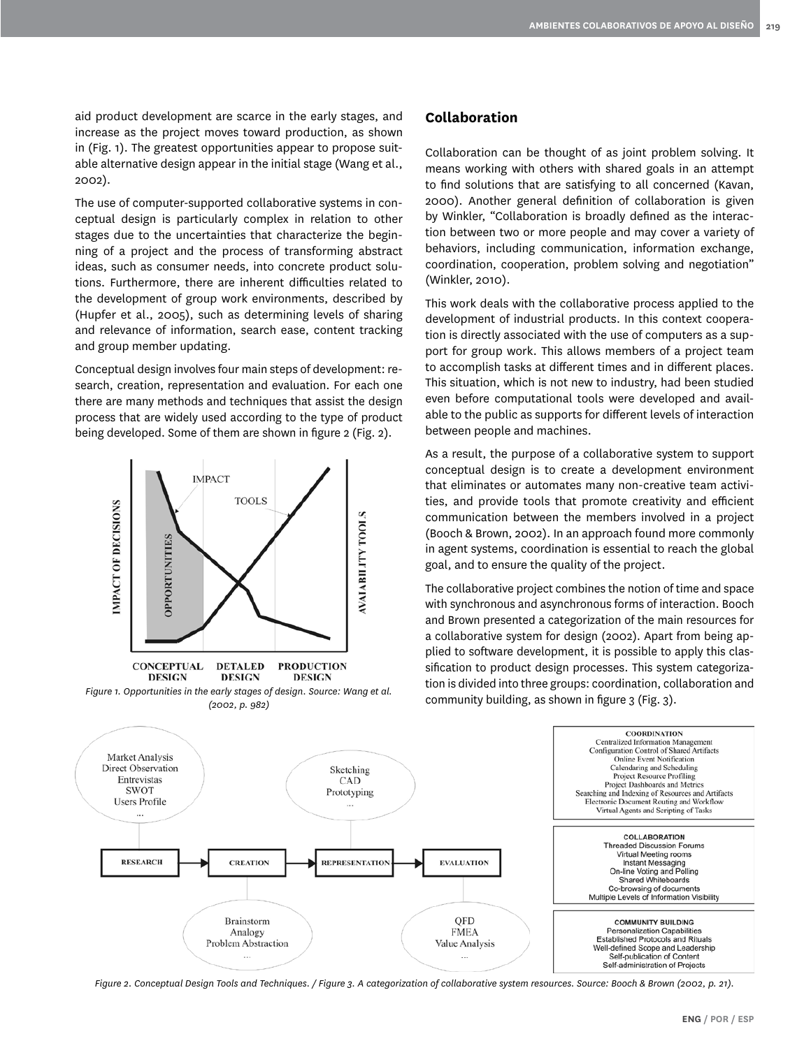aid product development are scarce in the early stages, and increase as the project moves toward production, as shown in (Fig. 1). The greatest opportunities appear to propose suitable alternative design appear in the initial stage (Wang et al., 2002).

The use of computer-supported collaborative systems in conceptual design is particularly complex in relation to other stages due to the uncertainties that characterize the beginning of a project and the process of transforming abstract ideas, such as consumer needs, into concrete product solutions. Furthermore, there are inherent difficulties related to the development of group work environments, described by (Hupfer et al., 2005), such as determining levels of sharing and relevance of information, search ease, content tracking and group member updating.

Conceptual design involves four main steps of development: research, creation, representation and evaluation. For each one there are many methods and techniques that assist the design process that are widely used according to the type of product being developed. Some of them are shown in figure 2 (Fig. 2).



# **Collaboration**

Collaboration can be thought of as joint problem solving. It means working with others with shared goals in an attempt to find solutions that are satisfying to all concerned (Kavan, 2000). Another general definition of collaboration is given by Winkler, "Collaboration is broadly defined as the interaction between two or more people and may cover a variety of behaviors, including communication, information exchange, coordination, cooperation, problem solving and negotiation" (Winkler, 2010).

This work deals with the collaborative process applied to the development of industrial products. In this context cooperation is directly associated with the use of computers as a support for group work. This allows members of a project team to accomplish tasks at different times and in different places. This situation, which is not new to industry, had been studied even before computational tools were developed and available to the public as supports for different levels of interaction between people and machines.

As a result, the purpose of a collaborative system to support conceptual design is to create a development environment that eliminates or automates many non-creative team activities, and provide tools that promote creativity and efficient communication between the members involved in a project (Booch & Brown, 2002). In an approach found more commonly in agent systems, coordination is essential to reach the global goal, and to ensure the quality of the project.

The collaborative project combines the notion of time and space with synchronous and asynchronous forms of interaction. Booch and Brown presented a categorization of the main resources for a collaborative system for design (2002). Apart from being applied to software development, it is possible to apply this classification to product design processes. This system categorization is divided into three groups: coordination, collaboration and



*Figure 2. Conceptual Design Tools and Techniques. / Figure 3. A categorization of collaborative system resources. Source: Booch & Brown (2002, p. 21).*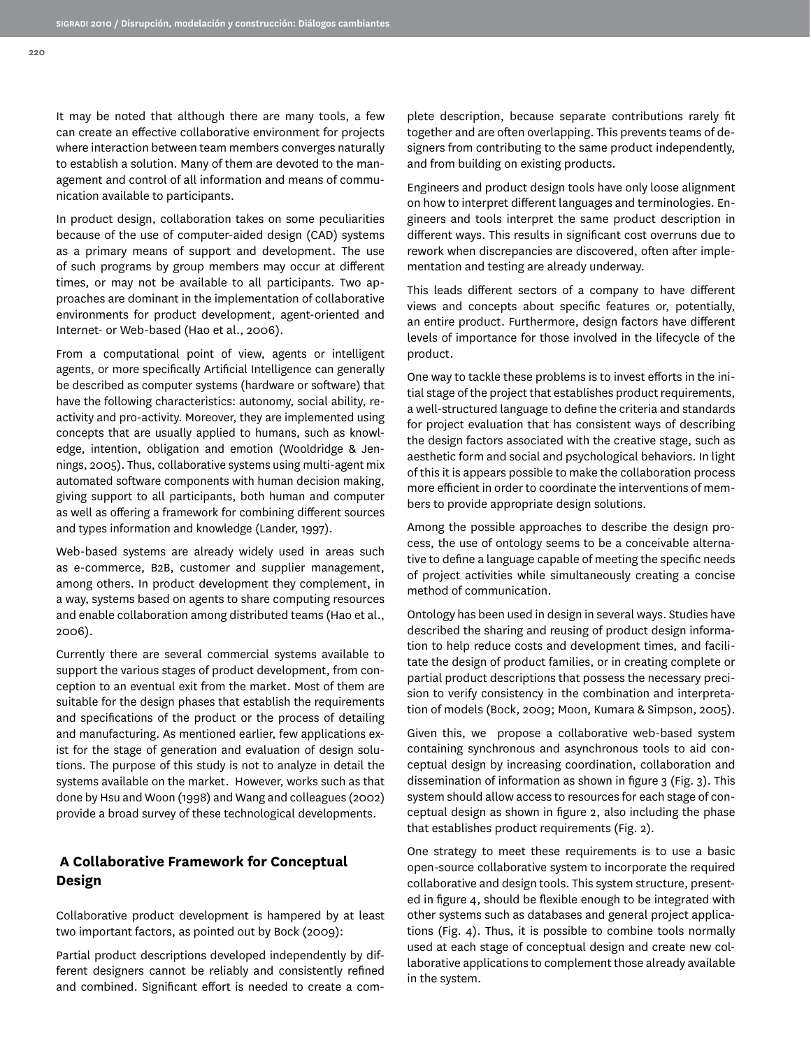It may be noted that although there are many tools, a few can create an effective collaborative environment for projects where interaction between team members converges naturally to establish a solution. Many of them are devoted to the management and control of all information and means of communication available to participants.

In product design, collaboration takes on some peculiarities because of the use of computer-aided design (CAD) systems as a primary means of support and development. The use of such programs by group members may occur at different times, or may not be available to all participants. Two approaches are dominant in the implementation of collaborative environments for product development, agent-oriented and Internet- or Web-based (Hao et al., 2006).

From a computational point of view, agents or intelligent agents, or more specifically Artificial Intelligence can generally be described as computer systems (hardware or software) that have the following characteristics: autonomy, social ability, reactivity and pro-activity. Moreover, they are implemented using concepts that are usually applied to humans, such as knowledge, intention, obligation and emotion (Wooldridge & Jennings, 2005). Thus, collaborative systems using multi-agent mix automated software components with human decision making, giving support to all participants, both human and computer as well as offering a framework for combining different sources and types information and knowledge (Lander, 1997).

Web-based systems are already widely used in areas such as e-commerce, B2B, customer and supplier management, among others. In product development they complement, in a way, systems based on agents to share computing resources and enable collaboration among distributed teams (Hao et al., 2006).

Currently there are several commercial systems available to support the various stages of product development, from conception to an eventual exit from the market. Most of them are suitable for the design phases that establish the requirements and specifications of the product or the process of detailing and manufacturing. As mentioned earlier, few applications exist for the stage of generation and evaluation of design solutions. The purpose of this study is not to analyze in detail the systems available on the market. However, works such as that done by Hsu and Woon (1998) and Wang and colleagues (2002) provide a broad survey of these technological developments.

# **A Collaborative Framework for Conceptual Design**

Collaborative product development is hampered by at least two important factors, as pointed out by Bock (2009):

Partial product descriptions developed independently by different designers cannot be reliably and consistently refined and combined. Significant effort is needed to create a complete description, because separate contributions rarely fit together and are often overlapping. This prevents teams of designers from contributing to the same product independently, and from building on existing products.

Engineers and product design tools have only loose alignment on how to interpret different languages and terminologies. Engineers and tools interpret the same product description in different ways. This results in significant cost overruns due to rework when discrepancies are discovered, often after implementation and testing are already underway.

This leads different sectors of a company to have different views and concepts about specific features or, potentially, an entire product. Furthermore, design factors have different levels of importance for those involved in the lifecycle of the product.

One way to tackle these problems is to invest efforts in the initial stage of the project that establishes product requirements, a well-structured language to define the criteria and standards for project evaluation that has consistent ways of describing the design factors associated with the creative stage, such as aesthetic form and social and psychological behaviors. In light of this it is appears possible to make the collaboration process more efficient in order to coordinate the interventions of members to provide appropriate design solutions.

Among the possible approaches to describe the design process, the use of ontology seems to be a conceivable alternative to define a language capable of meeting the specific needs of project activities while simultaneously creating a concise method of communication.

Ontology has been used in design in several ways. Studies have described the sharing and reusing of product design information to help reduce costs and development times, and facilitate the design of product families, or in creating complete or partial product descriptions that possess the necessary precision to verify consistency in the combination and interpretation of models (Bock, 2009; Moon, Kumara & Simpson, 2005).

Given this, we propose a collaborative web-based system containing synchronous and asynchronous tools to aid conceptual design by increasing coordination, collaboration and dissemination of information as shown in figure 3 (Fig. 3). This system should allow access to resources for each stage of conceptual design as shown in figure 2, also including the phase that establishes product requirements (Fig. 2).

One strategy to meet these requirements is to use a basic open-source collaborative system to incorporate the required collaborative and design tools. This system structure, presented in figure 4, should be flexible enough to be integrated with other systems such as databases and general project applications (Fig. 4). Thus, it is possible to combine tools normally used at each stage of conceptual design and create new collaborative applications to complement those already available in the system.